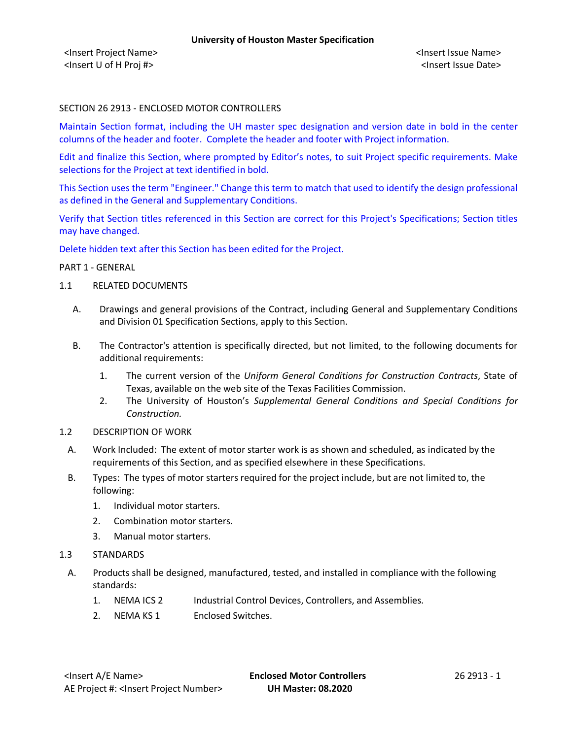#### SECTION 26 2913 - ENCLOSED MOTOR CONTROLLERS

Maintain Section format, including the UH master spec designation and version date in bold in the center columns of the header and footer. Complete the header and footer with Project information.

Edit and finalize this Section, where prompted by Editor's notes, to suit Project specific requirements. Make selections for the Project at text identified in bold.

This Section uses the term "Engineer." Change this term to match that used to identify the design professional as defined in the General and Supplementary Conditions.

Verify that Section titles referenced in this Section are correct for this Project's Specifications; Section titles may have changed.

Delete hidden text after this Section has been edited for the Project.

#### PART 1 - GENERAL

#### 1.1 RELATED DOCUMENTS

- A. Drawings and general provisions of the Contract, including General and Supplementary Conditions and Division 01 Specification Sections, apply to this Section.
- B. The Contractor's attention is specifically directed, but not limited, to the following documents for additional requirements:
	- 1. The current version of the *Uniform General Conditions for Construction Contracts*, State of Texas, available on the web site of the Texas Facilities Commission.
	- 2. The University of Houston's *Supplemental General Conditions and Special Conditions for Construction.*
- 1.2 DESCRIPTION OF WORK
	- A. Work Included: The extent of motor starter work is as shown and scheduled, as indicated by the requirements of this Section, and as specified elsewhere in these Specifications.
	- B. Types: The types of motor starters required for the project include, but are not limited to, the following:
		- 1. Individual motor starters.
		- 2. Combination motor starters.
		- 3. Manual motor starters.
- 1.3 STANDARDS
	- A. Products shall be designed, manufactured, tested, and installed in compliance with the following standards:
		- 1. NEMA ICS 2 Industrial Control Devices, Controllers, and Assemblies.
		- 2. NEMA KS 1 Enclosed Switches.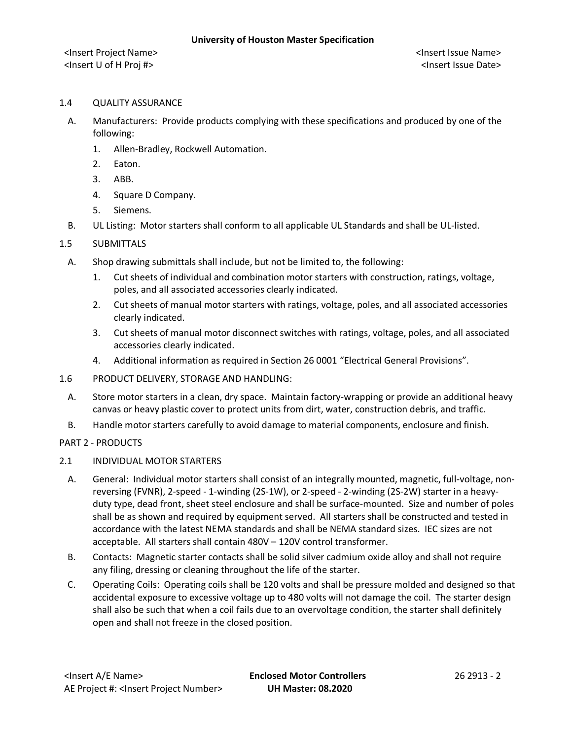#### 1.4 QUALITY ASSURANCE

- A. Manufacturers: Provide products complying with these specifications and produced by one of the following:
	- 1. Allen-Bradley, Rockwell Automation.
	- 2. Eaton.
	- 3. ABB.
	- 4. Square D Company.
	- 5. Siemens.
- B. UL Listing: Motor starters shall conform to all applicable UL Standards and shall be UL-listed.

# 1.5 SUBMITTALS

- A. Shop drawing submittals shall include, but not be limited to, the following:
	- 1. Cut sheets of individual and combination motor starters with construction, ratings, voltage, poles, and all associated accessories clearly indicated.
	- 2. Cut sheets of manual motor starters with ratings, voltage, poles, and all associated accessories clearly indicated.
	- 3. Cut sheets of manual motor disconnect switches with ratings, voltage, poles, and all associated accessories clearly indicated.
	- 4. Additional information as required in Section 26 0001 "Electrical General Provisions".
- 1.6 PRODUCT DELIVERY, STORAGE AND HANDLING:
	- A. Store motor starters in a clean, dry space. Maintain factory-wrapping or provide an additional heavy canvas or heavy plastic cover to protect units from dirt, water, construction debris, and traffic.
	- B. Handle motor starters carefully to avoid damage to material components, enclosure and finish.

# PART 2 - PRODUCTS

# 2.1 INDIVIDUAL MOTOR STARTERS

- A. General: Individual motor starters shall consist of an integrally mounted, magnetic, full-voltage, nonreversing (FVNR), 2-speed - 1-winding (2S-1W), or 2-speed - 2-winding (2S-2W) starter in a heavyduty type, dead front, sheet steel enclosure and shall be surface-mounted. Size and number of poles shall be as shown and required by equipment served. All starters shall be constructed and tested in accordance with the latest NEMA standards and shall be NEMA standard sizes. IEC sizes are not acceptable. All starters shall contain 480V – 120V control transformer.
- B. Contacts: Magnetic starter contacts shall be solid silver cadmium oxide alloy and shall not require any filing, dressing or cleaning throughout the life of the starter.
- C. Operating Coils: Operating coils shall be 120 volts and shall be pressure molded and designed so that accidental exposure to excessive voltage up to 480 volts will not damage the coil. The starter design shall also be such that when a coil fails due to an overvoltage condition, the starter shall definitely open and shall not freeze in the closed position.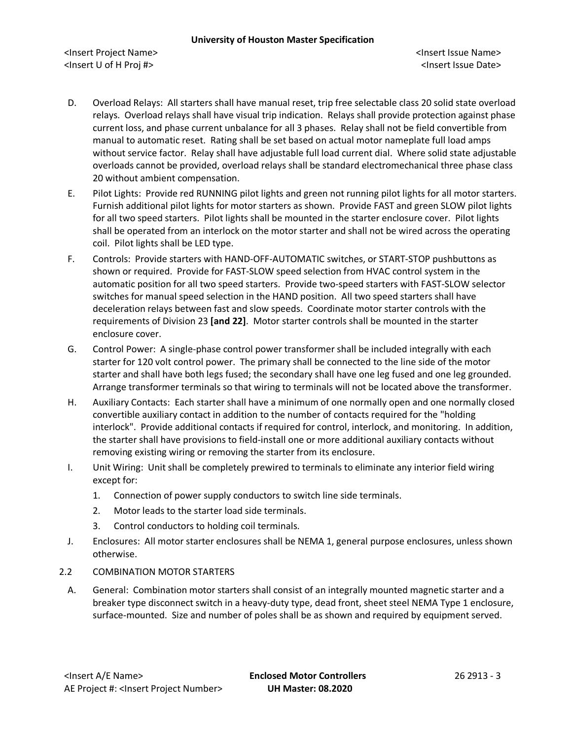<Insert Project Name> <Insert Issue Name> <Insert U of H Proj #> <Insert Issue Date>

- D. Overload Relays: All starters shall have manual reset, trip free selectable class 20 solid state overload relays. Overload relays shall have visual trip indication. Relays shall provide protection against phase current loss, and phase current unbalance for all 3 phases. Relay shall not be field convertible from manual to automatic reset. Rating shall be set based on actual motor nameplate full load amps without service factor. Relay shall have adjustable full load current dial. Where solid state adjustable overloads cannot be provided, overload relays shall be standard electromechanical three phase class 20 without ambient compensation.
- E. Pilot Lights: Provide red RUNNING pilot lights and green not running pilot lights for all motor starters. Furnish additional pilot lights for motor starters as shown. Provide FAST and green SLOW pilot lights for all two speed starters. Pilot lights shall be mounted in the starter enclosure cover. Pilot lights shall be operated from an interlock on the motor starter and shall not be wired across the operating coil. Pilot lights shall be LED type.
- F. Controls: Provide starters with HAND-OFF-AUTOMATIC switches, or START-STOP pushbuttons as shown or required. Provide for FAST-SLOW speed selection from HVAC control system in the automatic position for all two speed starters. Provide two-speed starters with FAST-SLOW selector switches for manual speed selection in the HAND position. All two speed starters shall have deceleration relays between fast and slow speeds. Coordinate motor starter controls with the requirements of Division 23 **[and 22]**. Motor starter controls shall be mounted in the starter enclosure cover.
- G. Control Power: A single-phase control power transformer shall be included integrally with each starter for 120 volt control power. The primary shall be connected to the line side of the motor starter and shall have both legs fused; the secondary shall have one leg fused and one leg grounded. Arrange transformer terminals so that wiring to terminals will not be located above the transformer.
- H. Auxiliary Contacts: Each starter shall have a minimum of one normally open and one normally closed convertible auxiliary contact in addition to the number of contacts required for the "holding interlock". Provide additional contacts if required for control, interlock, and monitoring. In addition, the starter shall have provisions to field-install one or more additional auxiliary contacts without removing existing wiring or removing the starter from its enclosure.
- I. Unit Wiring: Unit shall be completely prewired to terminals to eliminate any interior field wiring except for:
	- 1. Connection of power supply conductors to switch line side terminals.
	- 2. Motor leads to the starter load side terminals.
	- 3. Control conductors to holding coil terminals.
- J. Enclosures: All motor starter enclosures shall be NEMA 1, general purpose enclosures, unless shown otherwise.

# 2.2 COMBINATION MOTOR STARTERS

A. General: Combination motor starters shall consist of an integrally mounted magnetic starter and a breaker type disconnect switch in a heavy-duty type, dead front, sheet steel NEMA Type 1 enclosure, surface-mounted. Size and number of poles shall be as shown and required by equipment served.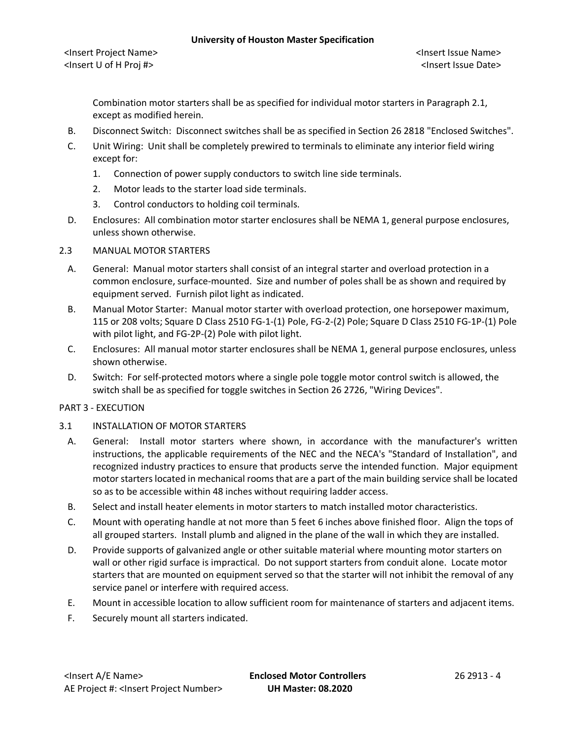#### **University of Houston Master Specification**

Combination motor starters shall be as specified for individual motor starters in Paragraph 2.1, except as modified herein.

- B. Disconnect Switch: Disconnect switches shall be as specified in Section 26 2818 "Enclosed Switches".
- C. Unit Wiring: Unit shall be completely prewired to terminals to eliminate any interior field wiring except for:
	- 1. Connection of power supply conductors to switch line side terminals.
	- 2. Motor leads to the starter load side terminals.
	- 3. Control conductors to holding coil terminals.
- D. Enclosures: All combination motor starter enclosures shall be NEMA 1, general purpose enclosures, unless shown otherwise.

# 2.3 MANUAL MOTOR STARTERS

- A. General: Manual motor starters shall consist of an integral starter and overload protection in a common enclosure, surface-mounted. Size and number of poles shall be as shown and required by equipment served. Furnish pilot light as indicated.
- B. Manual Motor Starter: Manual motor starter with overload protection, one horsepower maximum, 115 or 208 volts; Square D Class 2510 FG-1-(1) Pole, FG-2-(2) Pole; Square D Class 2510 FG-1P-(1) Pole with pilot light, and FG-2P-(2) Pole with pilot light.
- C. Enclosures: All manual motor starter enclosures shall be NEMA 1, general purpose enclosures, unless shown otherwise.
- D. Switch: For self-protected motors where a single pole toggle motor control switch is allowed, the switch shall be as specified for toggle switches in Section 26 2726, "Wiring Devices".

# PART 3 - EXECUTION

- 3.1 INSTALLATION OF MOTOR STARTERS
	- A. General: Install motor starters where shown, in accordance with the manufacturer's written instructions, the applicable requirements of the NEC and the NECA's "Standard of Installation", and recognized industry practices to ensure that products serve the intended function. Major equipment motor starters located in mechanical rooms that are a part of the main building service shall be located so as to be accessible within 48 inches without requiring ladder access.
	- B. Select and install heater elements in motor starters to match installed motor characteristics.
	- C. Mount with operating handle at not more than 5 feet 6 inches above finished floor. Align the tops of all grouped starters. Install plumb and aligned in the plane of the wall in which they are installed.
	- D. Provide supports of galvanized angle or other suitable material where mounting motor starters on wall or other rigid surface is impractical. Do not support starters from conduit alone. Locate motor starters that are mounted on equipment served so that the starter will not inhibit the removal of any service panel or interfere with required access.
	- E. Mount in accessible location to allow sufficient room for maintenance of starters and adjacent items.
	- F. Securely mount all starters indicated.